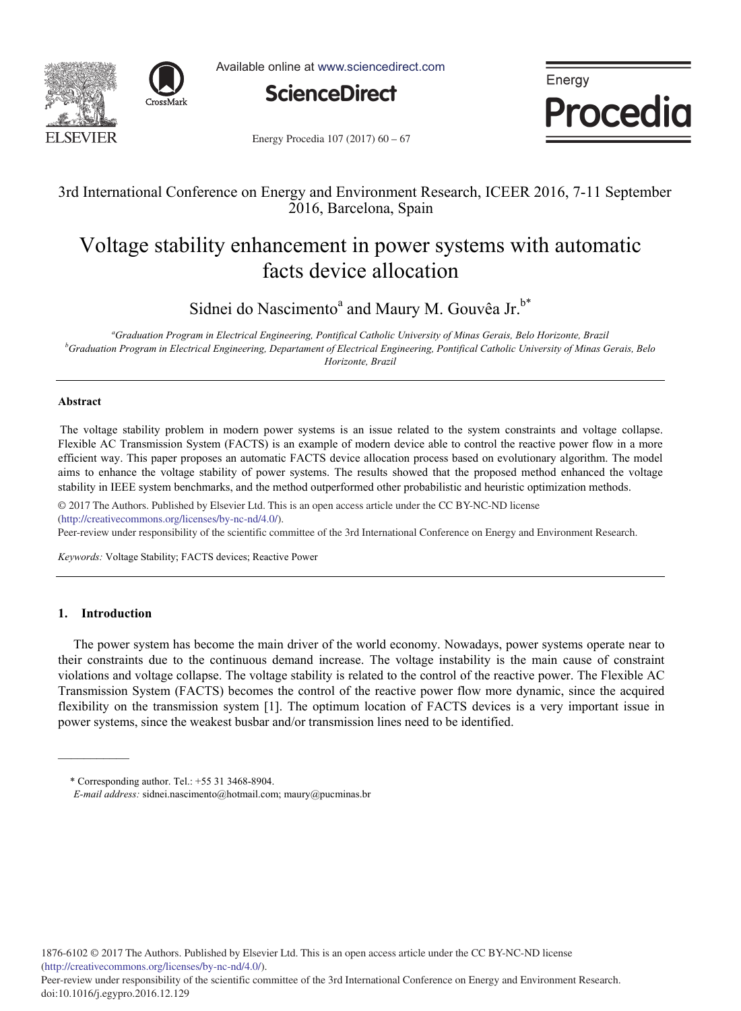



Available online at www.sciencedirect.com



Energy Procedia

Energy Procedia  $107 (2017) 60 - 67$ 

# 3rd International Conference on Energy and Environment Research, ICEER 2016, 7-11 September 2016, Barcelona, Spain

# Voltage stability enhancement in power systems with automatic facts device allocation

Sidnei do Nascimento<sup>a</sup> and Maury M. Gouvêa Jr.<sup>b\*</sup>

*a Graduation Program in Electrical Engineering, Pontifical Catholic University of Minas Gerais, Belo Horizonte, Brazil b Graduation Program in Electrical Engineering, Departament of Electrical Engineering, Pontifical Catholic University of Minas Gerais, Belo Horizonte, Brazil* 

# **Abstract**

The voltage stability problem in modern power systems is an issue related to the system constraints and voltage collapse. Flexible AC Transmission System (FACTS) is an example of modern device able to control the reactive power flow in a more efficient way. This paper proposes an automatic FACTS device allocation process based on evolutionary algorithm. The model aims to enhance the voltage stability of power systems. The results showed that the proposed method enhanced the voltage stability in IEEE system benchmarks, and the method outperformed other probabilistic and heuristic optimization methods.

© 2016 The Authors. Published by Elsevier Ltd. © 2017 The Authors. Published by Elsevier Ltd. This is an open access article under the CC BY-NC-ND license (http://creativecommons.org/licenses/by-nc-nd/4.0/).

Peer-review under responsibility of the scientific committee of the 3rd International Conference on Energy and Environment Research.

*Keywords:* Voltage Stability; FACTS devices; Reactive Power

# **1. Introduction**

The power system has become the main driver of the world economy. Nowadays, power systems operate near to their constraints due to the continuous demand increase. The voltage instability is the main cause of constraint violations and voltage collapse. The voltage stability is related to the control of the reactive power. The Flexible AC Transmission System (FACTS) becomes the control of the reactive power flow more dynamic, since the acquired flexibility on the transmission system [1]. The optimum location of FACTS devices is a very important issue in power systems, since the weakest busbar and/or transmission lines need to be identified.

 <sup>\*</sup> Corresponding author. Tel.: +55 31 3468-8904.

*E-mail address:* sidnei.nascimento@hotmail.com; maury@pucminas.br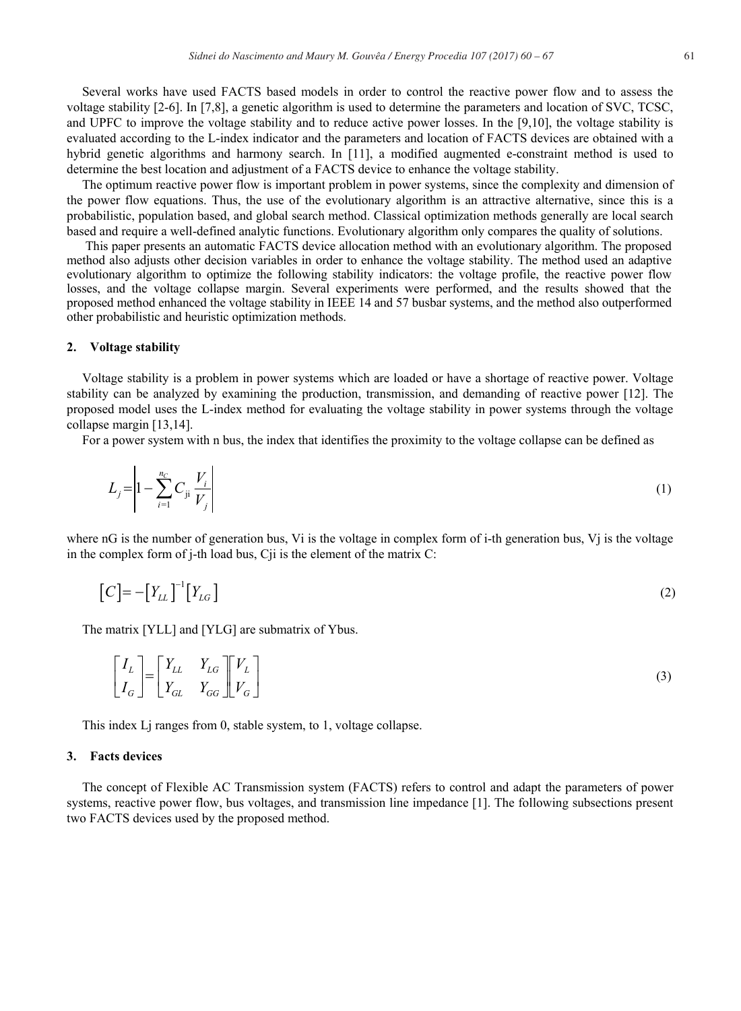Several works have used FACTS based models in order to control the reactive power flow and to assess the voltage stability [2-6]. In [7,8], a genetic algorithm is used to determine the parameters and location of SVC, TCSC, and UPFC to improve the voltage stability and to reduce active power losses. In the [9,10], the voltage stability is evaluated according to the L-index indicator and the parameters and location of FACTS devices are obtained with a hybrid genetic algorithms and harmony search. In [11], a modified augmented e-constraint method is used to determine the best location and adjustment of a FACTS device to enhance the voltage stability.

The optimum reactive power flow is important problem in power systems, since the complexity and dimension of the power flow equations. Thus, the use of the evolutionary algorithm is an attractive alternative, since this is a probabilistic, population based, and global search method. Classical optimization methods generally are local search based and require a well-defined analytic functions. Evolutionary algorithm only compares the quality of solutions.

This paper presents an automatic FACTS device allocation method with an evolutionary algorithm. The proposed method also adjusts other decision variables in order to enhance the voltage stability. The method used an adaptive evolutionary algorithm to optimize the following stability indicators: the voltage profile, the reactive power flow losses, and the voltage collapse margin. Several experiments were performed, and the results showed that the proposed method enhanced the voltage stability in IEEE 14 and 57 busbar systems, and the method also outperformed other probabilistic and heuristic optimization methods.

# **2. Voltage stability**

Voltage stability is a problem in power systems which are loaded or have a shortage of reactive power. Voltage stability can be analyzed by examining the production, transmission, and demanding of reactive power [12]. The proposed model uses the L-index method for evaluating the voltage stability in power systems through the voltage collapse margin [13,14].

For a power system with n bus, the index that identifies the proximity to the voltage collapse can be defined as

$$
L_{j} = \left| 1 - \sum_{i=1}^{n_{C}} C_{ji} \frac{V_{i}}{V_{j}} \right|
$$
 (1)

where nG is the number of generation bus, Vi is the voltage in complex form of i-th generation bus, Vi is the voltage in the complex form of j-th load bus, Cji is the element of the matrix C:

$$
\left[C\right] = -\left[Y_{LL}\right]^{-1}\left[Y_{LG}\right] \tag{2}
$$

The matrix [YLL] and [YLG] are submatrix of Ybus.

$$
\begin{bmatrix} I_L \\ I_G \end{bmatrix} = \begin{bmatrix} Y_{LL} & Y_{LG} \\ Y_{GL} & Y_{GG} \end{bmatrix} \begin{bmatrix} V_L \\ V_G \end{bmatrix}
$$
\n(3)

This index Lj ranges from 0, stable system, to 1, voltage collapse.

# **3. Facts devices**

The concept of Flexible AC Transmission system (FACTS) refers to control and adapt the parameters of power systems, reactive power flow, bus voltages, and transmission line impedance [1]. The following subsections present two FACTS devices used by the proposed method.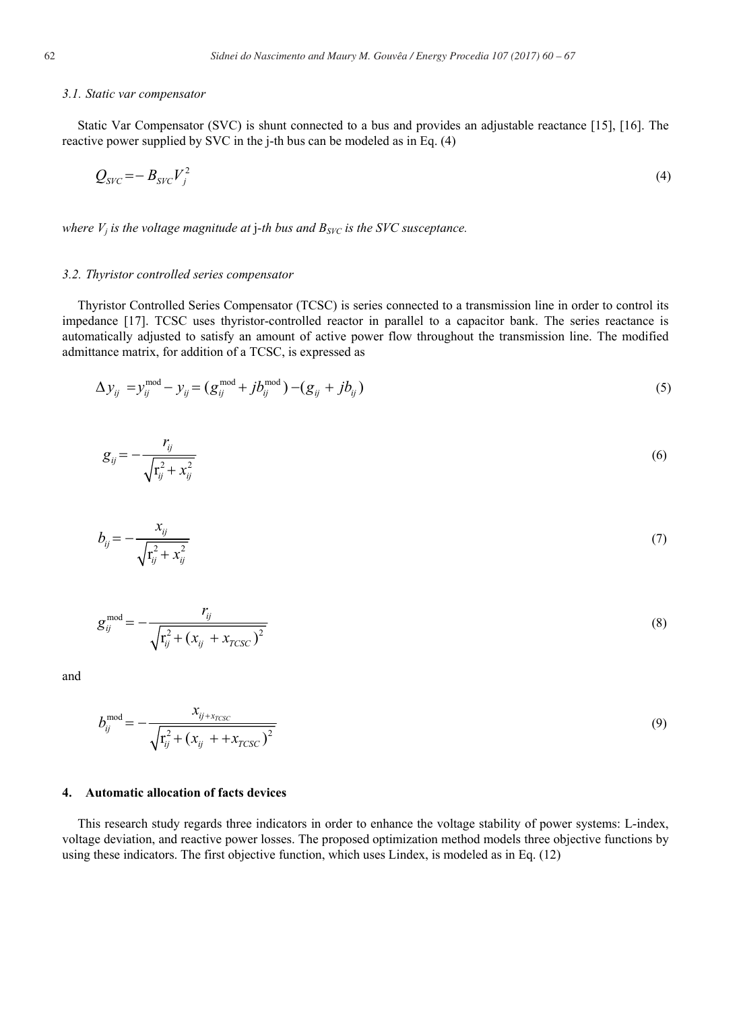# *3.1. Static var compensator*

Static Var Compensator (SVC) is shunt connected to a bus and provides an adjustable reactance [15], [16]. The reactive power supplied by SVC in the j-th bus can be modeled as in Eq. (4)

$$
Q_{SVC} = -B_{SVC}V_j^2 \tag{4}
$$

*where*  $V_i$  *is the voltage magnitude at j-th bus and*  $B_{SVC}$  *is the SVC susceptance.* 

# *3.2. Thyristor controlled series compensator*

Thyristor Controlled Series Compensator (TCSC) is series connected to a transmission line in order to control its impedance [17]. TCSC uses thyristor-controlled reactor in parallel to a capacitor bank. The series reactance is automatically adjusted to satisfy an amount of active power flow throughout the transmission line. The modified admittance matrix, for addition of a TCSC, is expressed as

$$
\Delta y_{ij} = y_{ij}^{\text{mod}} - y_{ij} = (g_{ij}^{\text{mod}} + jb_{ij}^{\text{mod}}) - (g_{ij} + jb_{ij})
$$
\n(5)

$$
g_{ij} = -\frac{r_{ij}}{\sqrt{\mathbf{r}_{ij}^2 + \mathbf{x}_{ij}^2}}
$$
\n
$$
(6)
$$

$$
b_{ij} = -\frac{x_{ij}}{\sqrt{r_{ij}^2 + x_{ij}^2}}
$$
 (7)

$$
g_{ij}^{\text{mod}} = -\frac{r_{ij}}{\sqrt{r_{ij}^2 + (x_{ij} + x_{TCSC})^2}}
$$
(8)

and

$$
b_{ij}^{\text{mod}} = -\frac{x_{ij + x_{TCSC}}}{\sqrt{r_{ij}^2 + (x_{ij} + x_{TCSC})^2}}
$$
(9)

# **4. Automatic allocation of facts devices**

This research study regards three indicators in order to enhance the voltage stability of power systems: L-index, voltage deviation, and reactive power losses. The proposed optimization method models three objective functions by using these indicators. The first objective function, which uses Lindex, is modeled as in Eq. (12)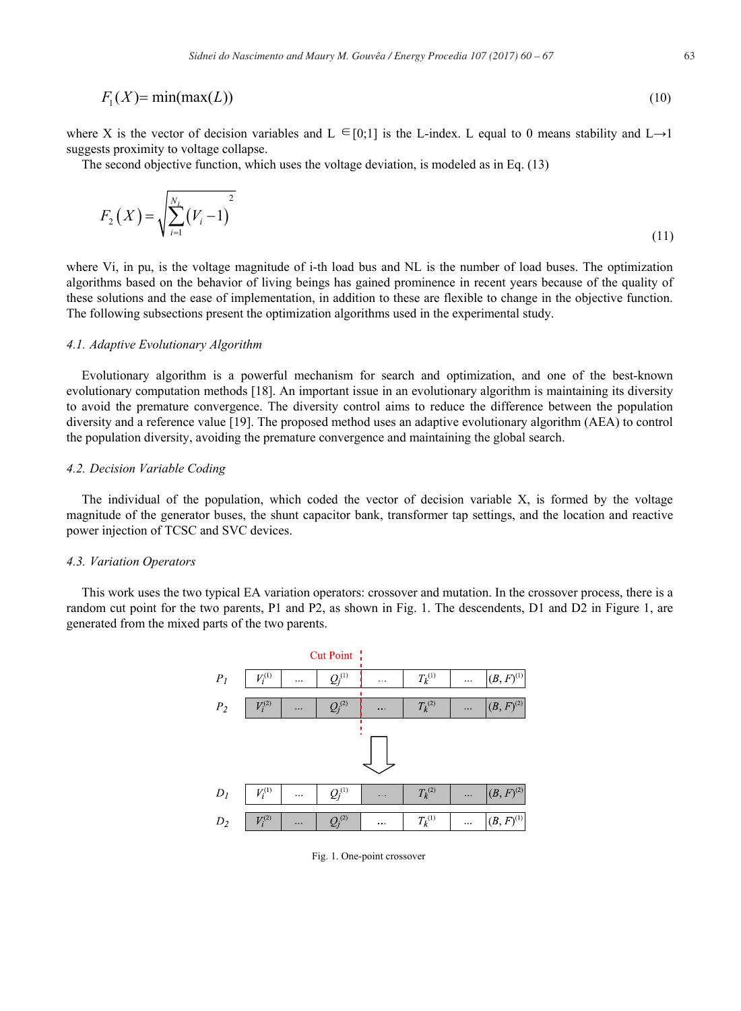$$
F_1(X) = \min(\max(L))
$$
\n(10)

where X is the vector of decision variables and L  $\in [0,1]$  is the L-index. L equal to 0 means stability and L $\rightarrow$ 1 suggests proximity to voltage collapse.

The second objective function, which uses the voltage deviation, is modeled as in Eq. (13)

$$
F_2(X) = \sqrt{\sum_{i=1}^{N_L} (V_i - 1)^2}
$$
\n(11)

where Vi, in pu, is the voltage magnitude of i-th load bus and NL is the number of load buses. The optimization algorithms based on the behavior of living beings has gained prominence in recent years because of the quality of these solutions and the ease of implementation, in addition to these are flexible to change in the objective function. The following subsections present the optimization algorithms used in the experimental study.

# *4.1. Adaptive Evolutionary Algorithm*

Evolutionary algorithm is a powerful mechanism for search and optimization, and one of the best-known evolutionary computation methods [18]. An important issue in an evolutionary algorithm is maintaining its diversity to avoid the premature convergence. The diversity control aims to reduce the difference between the population diversity and a reference value [19]. The proposed method uses an adaptive evolutionary algorithm (AEA) to control the population diversity, avoiding the premature convergence and maintaining the global search.

# *4.2. Decision Variable Coding*

The individual of the population, which coded the vector of decision variable X, is formed by the voltage magnitude of the generator buses, the shunt capacitor bank, transformer tap settings, and the location and reactive power injection of TCSC and SVC devices.

#### *4.3. Variation Operators*

This work uses the two typical EA variation operators: crossover and mutation. In the crossover process, there is a random cut point for the two parents, P1 and P2, as shown in Fig. 1. The descendents, D1 and D2 in Figure 1, are generated from the mixed parts of the two parents.



Fig. 1. One-point crossover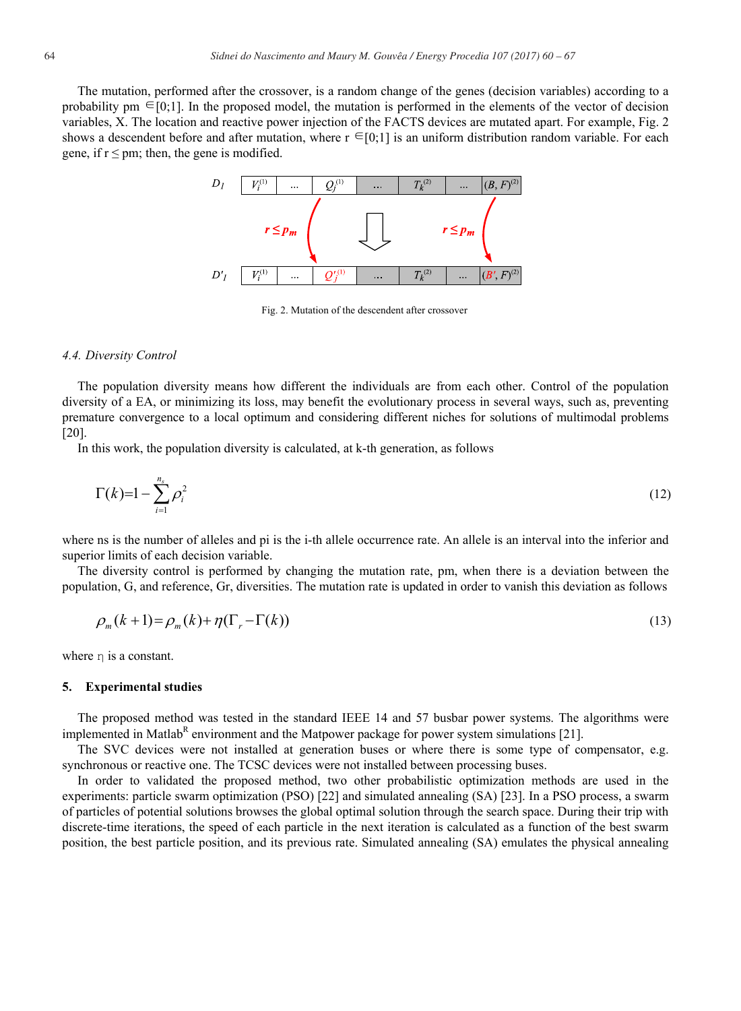The mutation, performed after the crossover, is a random change of the genes (decision variables) according to a probability pm  $\in [0,1]$ . In the proposed model, the mutation is performed in the elements of the vector of decision variables, X. The location and reactive power injection of the FACTS devices are mutated apart. For example, Fig. 2 shows a descendent before and after mutation, where  $r \in [0,1]$  is an uniform distribution random variable. For each gene, if  $r \leq pm$ ; then, the gene is modified.



Fig. 2. Mutation of the descendent after crossover

# *4.4. Diversity Control*

The population diversity means how different the individuals are from each other. Control of the population diversity of a EA, or minimizing its loss, may benefit the evolutionary process in several ways, such as, preventing premature convergence to a local optimum and considering different niches for solutions of multimodal problems [20].

In this work, the population diversity is calculated, at k-th generation, as follows

$$
\Gamma(k)=1-\sum_{i=1}^{n_s}\rho_i^2\tag{12}
$$

where ns is the number of alleles and pi is the *i*-th allele occurrence rate. An allele is an interval into the inferior and superior limits of each decision variable.

The diversity control is performed by changing the mutation rate, pm, when there is a deviation between the population, G, and reference, Gr, diversities. The mutation rate is updated in order to vanish this deviation as follows

$$
\rho_m(k+1) = \rho_m(k) + \eta(\Gamma_r - \Gamma(k))\tag{13}
$$

where  $\eta$  is a constant.

# **5. Experimental studies**

The proposed method was tested in the standard IEEE 14 and 57 busbar power systems. The algorithms were implemented in Matlab<sup>R</sup> environment and the Matpower package for power system simulations [21].

The SVC devices were not installed at generation buses or where there is some type of compensator, e.g. synchronous or reactive one. The TCSC devices were not installed between processing buses.

In order to validated the proposed method, two other probabilistic optimization methods are used in the experiments: particle swarm optimization (PSO) [22] and simulated annealing (SA) [23]. In a PSO process, a swarm of particles of potential solutions browses the global optimal solution through the search space. During their trip with discrete-time iterations, the speed of each particle in the next iteration is calculated as a function of the best swarm position, the best particle position, and its previous rate. Simulated annealing (SA) emulates the physical annealing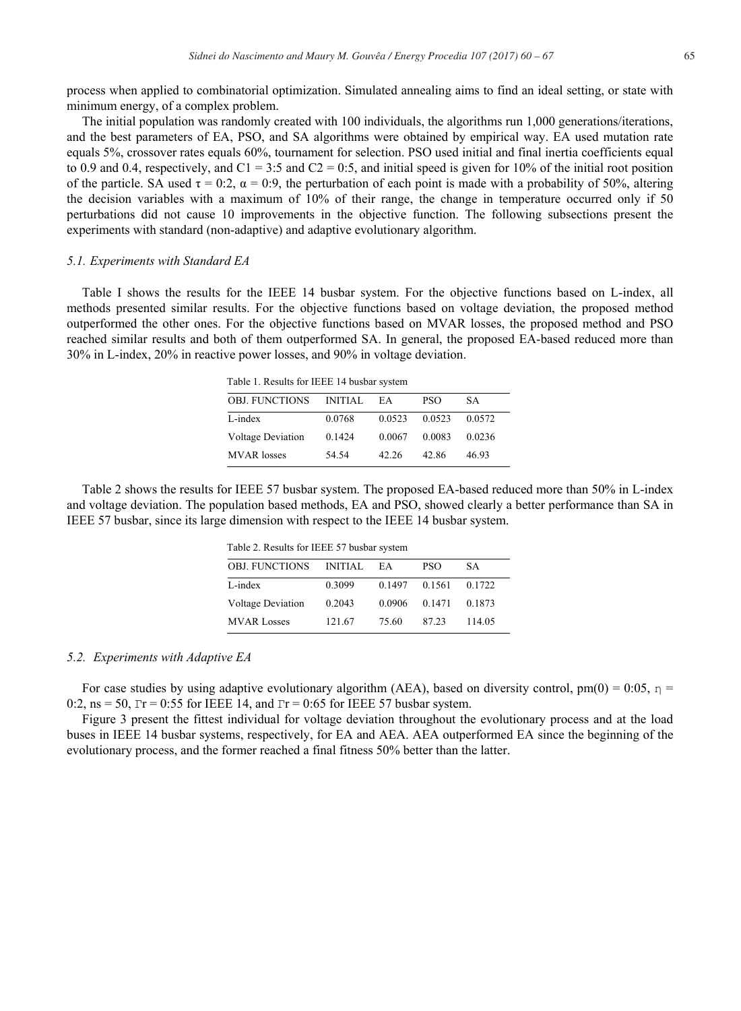process when applied to combinatorial optimization. Simulated annealing aims to find an ideal setting, or state with minimum energy, of a complex problem.

The initial population was randomly created with 100 individuals, the algorithms run 1,000 generations/iterations, and the best parameters of EA, PSO, and SA algorithms were obtained by empirical way. EA used mutation rate equals 5%, crossover rates equals 60%, tournament for selection. PSO used initial and final inertia coefficients equal to 0.9 and 0.4, respectively, and  $C1 = 3:5$  and  $C2 = 0:5$ , and initial speed is given for 10% of the initial root position of the particle. SA used  $\tau = 0.2$ ,  $\alpha = 0.9$ , the perturbation of each point is made with a probability of 50%, altering the decision variables with a maximum of 10% of their range, the change in temperature occurred only if 50 perturbations did not cause 10 improvements in the objective function. The following subsections present the experiments with standard (non-adaptive) and adaptive evolutionary algorithm.

# *5.1. Experiments with Standard EA*

Table I shows the results for the IEEE 14 busbar system. For the objective functions based on L-index, all methods presented similar results. For the objective functions based on voltage deviation, the proposed method outperformed the other ones. For the objective functions based on MVAR losses, the proposed method and PSO reached similar results and both of them outperformed SA. In general, the proposed EA-based reduced more than 30% in L-index, 20% in reactive power losses, and 90% in voltage deviation.

Table 1. Results for IEEE 14 busbar system

| <b>OBJ. FUNCTIONS</b>    | <b>INITIAL</b> | ЕA     | PSO    | SА     |
|--------------------------|----------------|--------|--------|--------|
| L-index                  | 0.0768         | 0.0523 | 0.0523 | 0.0572 |
| <b>Voltage Deviation</b> | 0.1424         | 0.0067 | 0.0083 | 0.0236 |
| <b>MVAR</b> losses       | 54.54          | 42.26  | 42.86  | 46.93  |

Table 2 shows the results for IEEE 57 busbar system. The proposed EA-based reduced more than 50% in L-index and voltage deviation. The population based methods, EA and PSO, showed clearly a better performance than SA in IEEE 57 busbar, since its large dimension with respect to the IEEE 14 busbar system.

|  | Table 2. Results for IEEE 57 busbar system |  |  |  |  |  |
|--|--------------------------------------------|--|--|--|--|--|
|--|--------------------------------------------|--|--|--|--|--|

| <b>OBJ. FUNCTIONS</b>    | <b>INITIAL</b> | ЕA     | <b>PSO</b> | SА     |
|--------------------------|----------------|--------|------------|--------|
| L-index                  | 0.3099         | 0.1497 | 0.1561     | 0.1722 |
| <b>Voltage Deviation</b> | 0.2043         | 0.0906 | 0.1471     | 0.1873 |
| <b>MVAR Losses</b>       | 121.67         | 75.60  | 87.23      | 114.05 |

# *5.2. Experiments with Adaptive EA*

For case studies by using adaptive evolutionary algorithm (AEA), based on diversity control, pm(0) = 0:05,  $\eta$  = 0:2, ns = 50,  $Tr = 0.55$  for IEEE 14, and  $Tr = 0.65$  for IEEE 57 busbar system.

Figure 3 present the fittest individual for voltage deviation throughout the evolutionary process and at the load buses in IEEE 14 busbar systems, respectively, for EA and AEA. AEA outperformed EA since the beginning of the evolutionary process, and the former reached a final fitness 50% better than the latter.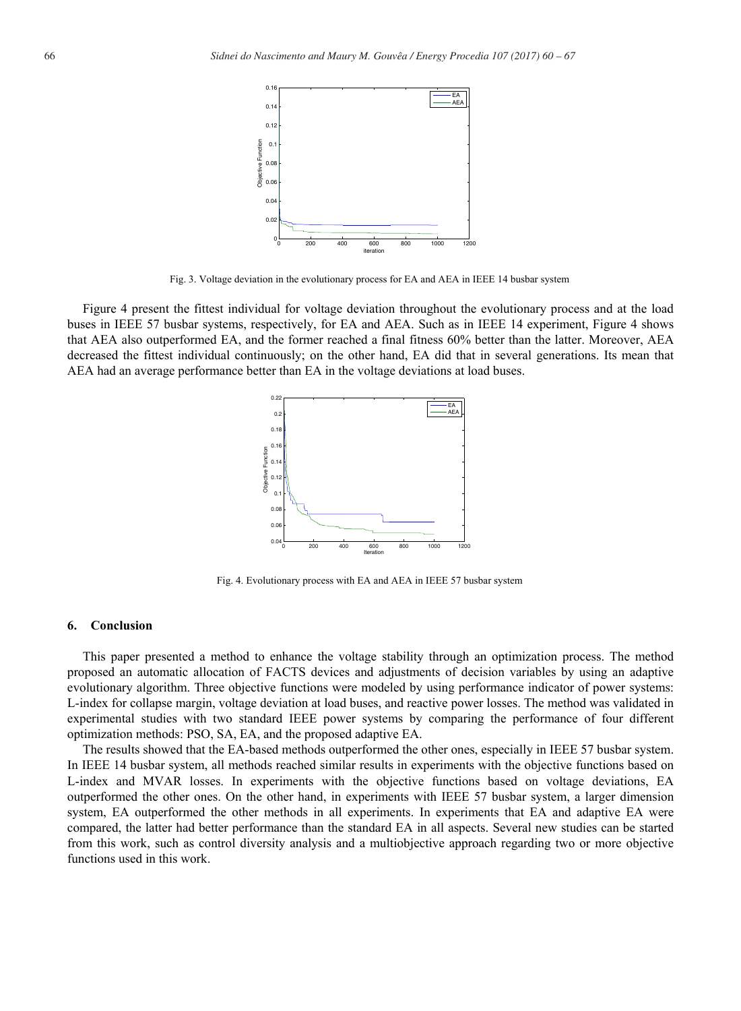

Fig. 3. Voltage deviation in the evolutionary process for EA and AEA in IEEE 14 busbar system

Figure 4 present the fittest individual for voltage deviation throughout the evolutionary process and at the load buses in IEEE 57 busbar systems, respectively, for EA and AEA. Such as in IEEE 14 experiment, Figure 4 shows that AEA also outperformed EA, and the former reached a final fitness 60% better than the latter. Moreover, AEA decreased the fittest individual continuously; on the other hand, EA did that in several generations. Its mean that AEA had an average performance better than EA in the voltage deviations at load buses.



Fig. 4. Evolutionary process with EA and AEA in IEEE 57 busbar system

# **6. Conclusion**

This paper presented a method to enhance the voltage stability through an optimization process. The method proposed an automatic allocation of FACTS devices and adjustments of decision variables by using an adaptive evolutionary algorithm. Three objective functions were modeled by using performance indicator of power systems: L-index for collapse margin, voltage deviation at load buses, and reactive power losses. The method was validated in experimental studies with two standard IEEE power systems by comparing the performance of four different optimization methods: PSO, SA, EA, and the proposed adaptive EA.

The results showed that the EA-based methods outperformed the other ones, especially in IEEE 57 busbar system. In IEEE 14 busbar system, all methods reached similar results in experiments with the objective functions based on L-index and MVAR losses. In experiments with the objective functions based on voltage deviations, EA outperformed the other ones. On the other hand, in experiments with IEEE 57 busbar system, a larger dimension system, EA outperformed the other methods in all experiments. In experiments that EA and adaptive EA were compared, the latter had better performance than the standard EA in all aspects. Several new studies can be started from this work, such as control diversity analysis and a multiobjective approach regarding two or more objective functions used in this work.